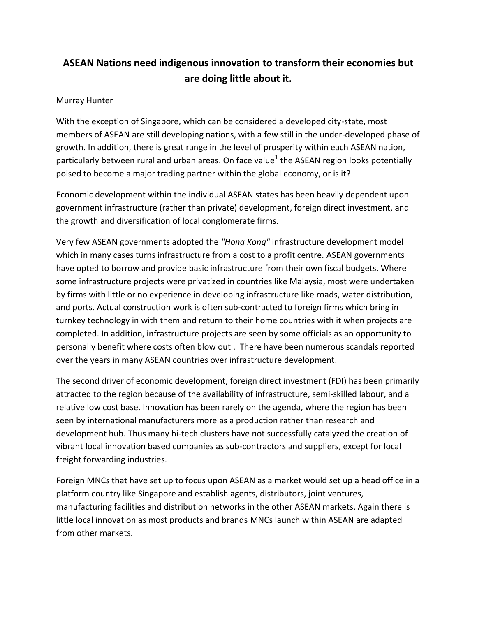## **ASEAN Nations need indigenous innovation to transform their economies but are doing little about it.**

## Murray Hunter

With the exception of Singapore, which can be considered a developed city-state, most members of ASEAN are still developing nations, with a few still in the under-developed phase of growth. In addition, there is great range in the level of prosperity within each ASEAN nation, particularly between rural and urban areas. On face value<sup>1</sup> the ASEAN region looks potentially poised to become a major trading partner within the global economy, or is it?

Economic development within the individual ASEAN states has been heavily dependent upon government infrastructure (rather than private) development, foreign direct investment, and the growth and diversification of local conglomerate firms.

Very few ASEAN governments adopted the *"Hong Kong"* infrastructure development model which in many cases turns infrastructure from a cost to a profit centre. ASEAN governments have opted to borrow and provide basic infrastructure from their own fiscal budgets. Where some infrastructure projects were privatized in countries like Malaysia, most were undertaken by firms with little or no experience in developing infrastructure like roads, water distribution, and ports. Actual construction work is often sub-contracted to foreign firms which bring in turnkey technology in with them and return to their home countries with it when projects are completed. In addition, infrastructure projects are seen by some officials as an opportunity to personally benefit where costs often blow out . There have been numerous scandals reported over the years in many ASEAN countries over infrastructure development.

The second driver of economic development, foreign direct investment (FDI) has been primarily attracted to the region because of the availability of infrastructure, semi-skilled labour, and a relative low cost base. Innovation has been rarely on the agenda, where the region has been seen by international manufacturers more as a production rather than research and development hub. Thus many hi-tech clusters have not successfully catalyzed the creation of vibrant local innovation based companies as sub-contractors and suppliers, except for local freight forwarding industries.

Foreign MNCs that have set up to focus upon ASEAN as a market would set up a head office in a platform country like Singapore and establish agents, distributors, joint ventures, manufacturing facilities and distribution networks in the other ASEAN markets. Again there is little local innovation as most products and brands MNCs launch within ASEAN are adapted from other markets.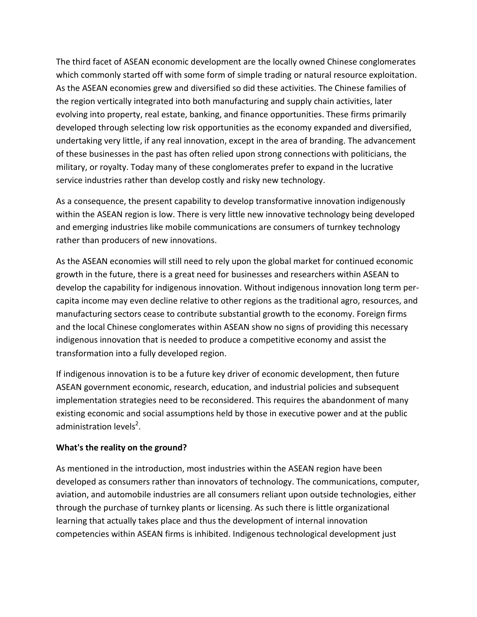The third facet of ASEAN economic development are the locally owned Chinese conglomerates which commonly started off with some form of simple trading or natural resource exploitation. As the ASEAN economies grew and diversified so did these activities. The Chinese families of the region vertically integrated into both manufacturing and supply chain activities, later evolving into property, real estate, banking, and finance opportunities. These firms primarily developed through selecting low risk opportunities as the economy expanded and diversified, undertaking very little, if any real innovation, except in the area of branding. The advancement of these businesses in the past has often relied upon strong connections with politicians, the military, or royalty. Today many of these conglomerates prefer to expand in the lucrative service industries rather than develop costly and risky new technology.

As a consequence, the present capability to develop transformative innovation indigenously within the ASEAN region is low. There is very little new innovative technology being developed and emerging industries like mobile communications are consumers of turnkey technology rather than producers of new innovations.

As the ASEAN economies will still need to rely upon the global market for continued economic growth in the future, there is a great need for businesses and researchers within ASEAN to develop the capability for indigenous innovation. Without indigenous innovation long term percapita income may even decline relative to other regions as the traditional agro, resources, and manufacturing sectors cease to contribute substantial growth to the economy. Foreign firms and the local Chinese conglomerates within ASEAN show no signs of providing this necessary indigenous innovation that is needed to produce a competitive economy and assist the transformation into a fully developed region.

If indigenous innovation is to be a future key driver of economic development, then future ASEAN government economic, research, education, and industrial policies and subsequent implementation strategies need to be reconsidered. This requires the abandonment of many existing economic and social assumptions held by those in executive power and at the public administration levels<sup>2</sup>.

## **What's the reality on the ground?**

As mentioned in the introduction, most industries within the ASEAN region have been developed as consumers rather than innovators of technology. The communications, computer, aviation, and automobile industries are all consumers reliant upon outside technologies, either through the purchase of turnkey plants or licensing. As such there is little organizational learning that actually takes place and thus the development of internal innovation competencies within ASEAN firms is inhibited. Indigenous technological development just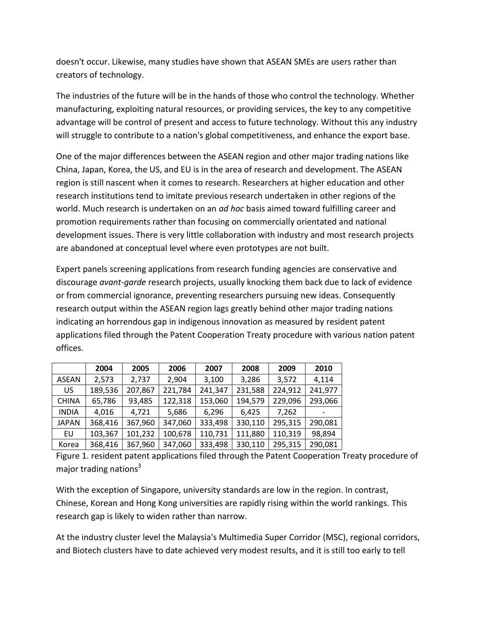doesn't occur. Likewise, many studies have shown that ASEAN SMEs are users rather than creators of technology.

The industries of the future will be in the hands of those who control the technology. Whether manufacturing, exploiting natural resources, or providing services, the key to any competitive advantage will be control of present and access to future technology. Without this any industry will struggle to contribute to a nation's global competitiveness, and enhance the export base.

One of the major differences between the ASEAN region and other major trading nations like China, Japan, Korea, the US, and EU is in the area of research and development. The ASEAN region is still nascent when it comes to research. Researchers at higher education and other research institutions tend to imitate previous research undertaken in other regions of the world. Much research is undertaken on an *ad hoc* basis aimed toward fulfilling career and promotion requirements rather than focusing on commercially orientated and national development issues. There is very little collaboration with industry and most research projects are abandoned at conceptual level where even prototypes are not built.

Expert panels screening applications from research funding agencies are conservative and discourage *avant-garde* research projects, usually knocking them back due to lack of evidence or from commercial ignorance, preventing researchers pursuing new ideas. Consequently research output within the ASEAN region lags greatly behind other major trading nations indicating an horrendous gap in indigenous innovation as measured by resident patent applications filed through the Patent Cooperation Treaty procedure with various nation patent offices.

|              | 2004    | 2005    | 2006    | 2007    | 2008    | 2009    | 2010    |
|--------------|---------|---------|---------|---------|---------|---------|---------|
| <b>ASEAN</b> | 2,573   | 2,737   | 2,904   | 3,100   | 3,286   | 3,572   | 4,114   |
| US           | 189,536 | 207,867 | 221,784 | 241,347 | 231,588 | 224,912 | 241,977 |
| <b>CHINA</b> | 65,786  | 93,485  | 122,318 | 153,060 | 194,579 | 229,096 | 293,066 |
| <b>INDIA</b> | 4,016   | 4,721   | 5,686   | 6,296   | 6,425   | 7,262   |         |
| <b>JAPAN</b> | 368,416 | 367,960 | 347,060 | 333,498 | 330,110 | 295,315 | 290,081 |
| EU           | 103,367 | 101,232 | 100,678 | 110,731 | 111,880 | 110,319 | 98,894  |
| Korea        | 368,416 | 367,960 | 347,060 | 333,498 | 330,110 | 295,315 | 290,081 |

Figure 1. resident patent applications filed through the Patent Cooperation Treaty procedure of major trading nations $3$ 

With the exception of Singapore, university standards are low in the region. In contrast, Chinese, Korean and Hong Kong universities are rapidly rising within the world rankings. This research gap is likely to widen rather than narrow.

At the industry cluster level the Malaysia's Multimedia Super Corridor (MSC), regional corridors, and Biotech clusters have to date achieved very modest results, and it is still too early to tell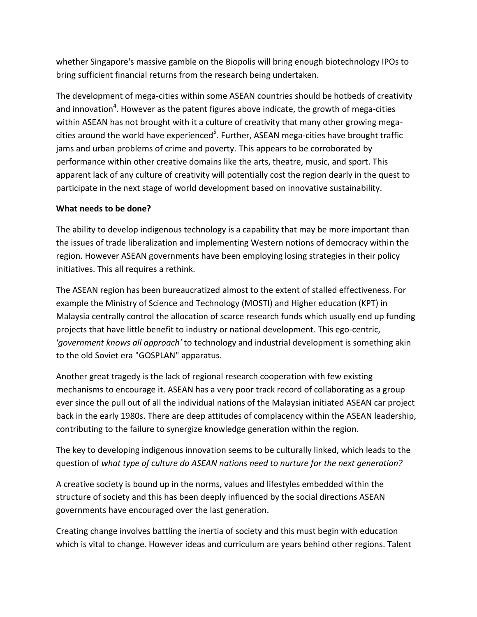whether Singapore's massive gamble on the Biopolis will bring enough biotechnology IPOs to bring sufficient financial returns from the research being undertaken.

The development of mega-cities within some ASEAN countries should be hotbeds of creativity and innovation<sup>4</sup>. However as the patent figures above indicate, the growth of mega-cities within ASEAN has not brought with it a culture of creativity that many other growing megacities around the world have experienced<sup>5</sup>. Further, ASEAN mega-cities have brought traffic jams and urban problems of crime and poverty. This appears to be corroborated by performance within other creative domains like the arts, theatre, music, and sport. This apparent lack of any culture of creativity will potentially cost the region dearly in the quest to participate in the next stage of world development based on innovative sustainability.

## **What needs to be done?**

The ability to develop indigenous technology is a capability that may be more important than the issues of trade liberalization and implementing Western notions of democracy within the region. However ASEAN governments have been employing losing strategies in their policy initiatives. This all requires a rethink.

The ASEAN region has been bureaucratized almost to the extent of stalled effectiveness. For example the Ministry of Science and Technology (MOSTI) and Higher education (KPT) in Malaysia centrally control the allocation of scarce research funds which usually end up funding projects that have little benefit to industry or national development. This ego-centric, *'government knows all approach'* to technology and industrial development is something akin to the old Soviet era "GOSPLAN" apparatus.

Another great tragedy is the lack of regional research cooperation with few existing mechanisms to encourage it. ASEAN has a very poor track record of collaborating as a group ever since the pull out of all the individual nations of the Malaysian initiated ASEAN car project back in the early 1980s. There are deep attitudes of complacency within the ASEAN leadership, contributing to the failure to synergize knowledge generation within the region.

The key to developing indigenous innovation seems to be culturally linked, which leads to the question of *what type of culture do ASEAN nations need to nurture for the next generation?*

A creative society is bound up in the norms, values and lifestyles embedded within the structure of society and this has been deeply influenced by the social directions ASEAN governments have encouraged over the last generation.

Creating change involves battling the inertia of society and this must begin with education which is vital to change. However ideas and curriculum are years behind other regions. Talent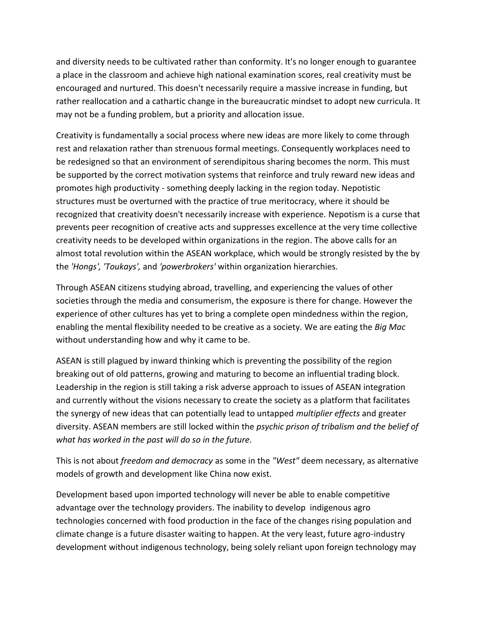and diversity needs to be cultivated rather than conformity. It's no longer enough to guarantee a place in the classroom and achieve high national examination scores, real creativity must be encouraged and nurtured. This doesn't necessarily require a massive increase in funding, but rather reallocation and a cathartic change in the bureaucratic mindset to adopt new curricula. It may not be a funding problem, but a priority and allocation issue.

Creativity is fundamentally a social process where new ideas are more likely to come through rest and relaxation rather than strenuous formal meetings. Consequently workplaces need to be redesigned so that an environment of serendipitous sharing becomes the norm. This must be supported by the correct motivation systems that reinforce and truly reward new ideas and promotes high productivity - something deeply lacking in the region today. Nepotistic structures must be overturned with the practice of true meritocracy, where it should be recognized that creativity doesn't necessarily increase with experience. Nepotism is a curse that prevents peer recognition of creative acts and suppresses excellence at the very time collective creativity needs to be developed within organizations in the region. The above calls for an almost total revolution within the ASEAN workplace, which would be strongly resisted by the by the *'Hongs', 'Toukays',* and *'powerbrokers'* within organization hierarchies.

Through ASEAN citizens studying abroad, travelling, and experiencing the values of other societies through the media and consumerism, the exposure is there for change. However the experience of other cultures has yet to bring a complete open mindedness within the region, enabling the mental flexibility needed to be creative as a society. We are eating the *Big Mac*  without understanding how and why it came to be.

ASEAN is still plagued by inward thinking which is preventing the possibility of the region breaking out of old patterns, growing and maturing to become an influential trading block. Leadership in the region is still taking a risk adverse approach to issues of ASEAN integration and currently without the visions necessary to create the society as a platform that facilitates the synergy of new ideas that can potentially lead to untapped *multiplier effects* and greater diversity. ASEAN members are still locked within the *psychic prison of tribalism and the belief of what has worked in the past will do so in the future.*

This is not about *freedom and democracy* as some in the *"West"* deem necessary, as alternative models of growth and development like China now exist.

Development based upon imported technology will never be able to enable competitive advantage over the technology providers. The inability to develop indigenous agro technologies concerned with food production in the face of the changes rising population and climate change is a future disaster waiting to happen. At the very least, future agro-industry development without indigenous technology, being solely reliant upon foreign technology may